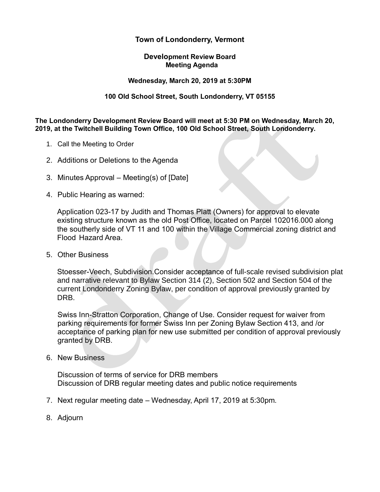# **Town of Londonderry, Vermont**

#### **Development Review Board Meeting Agenda**

#### **Wednesday, March 20, 2019 at 5:30PM**

### **100 Old School Street, South Londonderry, VT 05155**

**The Londonderry Development Review Board will meet at 5:30 PM on Wednesday, March 20, 2019, at the Twitchell Building Town Office, 100 Old School Street, South Londonderry.** 

- 1. Call the Meeting to Order
- 2. Additions or Deletions to the Agenda
- 3. Minutes Approval Meeting(s) of [Date]
- 4. Public Hearing as warned:

Application 023-17 by Judith and Thomas Platt (Owners) for approval to elevate existing structure known as the old Post Office, located on Parcel 102016.000 along the southerly side of VT 11 and 100 within the Village Commercial zoning district and Flood Hazard Area.

5. Other Business

Stoesser-Veech, Subdivision.Consider acceptance of full-scale revised subdivision plat and narrative relevant to Bylaw Section 314 (2), Section 502 and Section 504 of the current Londonderry Zoning Bylaw, per condition of approval previously granted by DRB.

Swiss Inn-Stratton Corporation, Change of Use. Consider request for waiver from parking requirements for former Swiss Inn per Zoning Bylaw Section 413, and /or acceptance of parking plan for new use submitted per condition of approval previously granted by DRB.

6. New Business

Discussion of terms of service for DRB members Discussion of DRB regular meeting dates and public notice requirements

- 7. Next regular meeting date Wednesday, April 17, 2019 at 5:30pm.
- 8. Adjourn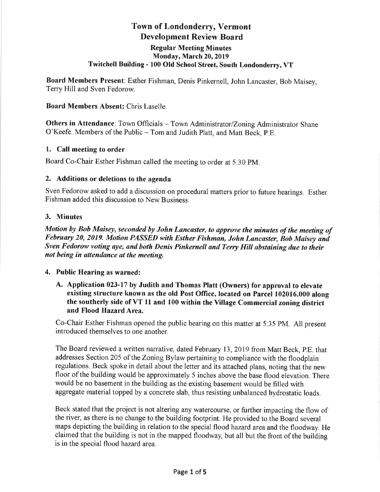# **Town of Londonderry, Vermont Development Review Board**

#### **Regular Meeting Minutes** Monday, March 20, 2019 Twitchell Building - 100 Old School Street, South Londonderry, VT

Board Members Present: Esther Fishman, Denis Pinkernell, John Lancaster, Bob Maisey, Terry Hill and Sven Fedorow.

### **Board Members Absent: Chris Laselle.**

Others in Attendance: Town Officials - Town Administrator/Zoning Administrator Shane O'Keefe. Members of the Public - Tom and Judith Platt, and Matt Beck, P.E.

# 1. Call meeting to order

Board Co-Chair Esther Fishman called the meeting to order at 5:30 PM.

### 2. Additions or deletions to the agenda

Sven Fedorow asked to add a discussion on procedural matters prior to future hearings. Esther Fishman added this discussion to New Business.

### 3. Minutes

Motion by Bob Maisey, seconded by John Lancaster, to approve the minutes of the meeting of February 20, 2019. Motion PASSED with Esther Fishman, John Lancaster, Bob Maisey and Sven Fedorow voting aye, and both Denis Pinkernell and Terry Hill abstaining due to their not being in attendance at the meeting.

# 4. Public Hearing as warned:

A. Application 023-17 by Judith and Thomas Platt (Owners) for approval to elevate existing structure known as the old Post Office, located on Parcel 102016.000 along the southerly side of VT 11 and 100 within the Village Commercial zoning district and Flood Hazard Area.

Co-Chair Esther Fishman opened the public hearing on this matter at 5:35 PM. All present introduced themselves to one another.

The Board reviewed a written narrative, dated February 13, 2019 from Matt Beck, P.E. that addresses Section 205 of the Zoning Bylaw pertaining to compliance with the floodplain regulations. Beck spoke in detail about the letter and its attached plans, noting that the new floor of the building would be approximately 5 inches above the base flood elevation. There would be no basement in the building as the existing basement would be filled with aggregate material topped by a concrete slab, thus resisting unbalanced hydrostatic loads.

Beck stated that the project is not altering any watercourse, or further impacting the flow of the river, as there is no change to the building footprint. He provided to the Board several maps depicting the building in relation to the special flood hazard area and the floodway. He claimed that the building is not in the mapped floodway, but all but the front of the building is in the special flood hazard area.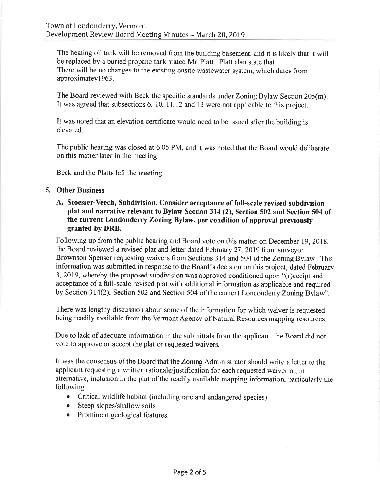The heating oil tank will be removed from the building basement, and it is likely that it will be replaced by a buried propane tank stated Mr. Platt. Platt also state that There will be no changes to the existing onsite wastewater system, which dates from approximatey1963.

The Board reviewed with Beck the specific standards under Zoning Bylaw Section 205(m). It was agreed that subsections 6, 10, 11, 12 and 13 were not applicable to this project.

It was noted that an elevation certificate would need to be issued after the building is elevated.

The public hearing was closed at 6:05 PM, and it was noted that the Board would deliberate on this matter later in the meeting.

Beck and the Platts left the meeting.

### 5. Other Business

A. Stoesser-Veech, Subdivision. Consider acceptance of full-scale revised subdivision plat and narrative relevant to Bylaw Section 314 (2), Section 502 and Section 504 of the current Londonderry Zoning Bylaw, per condition of approval previously granted by DRB.

Following up from the public hearing and Board vote on this matter on December 19, 2018. the Board reviewed a revised plat and letter dated February 27, 2019 from surveyor Brownson Spenser requesting waivers from Sections 314 and 504 of the Zoning Bylaw. This information was submitted in response to the Board's decision on this project, dated February 3, 2019, whereby the proposed subdivision was approved conditioned upon "(r)eceipt and acceptance of a full-scale revised plat with additional information as applicable and required by Section 314(2), Section 502 and Section 504 of the current Londonderry Zoning Bylaw".

There was lengthy discussion about some of the information for which waiver is requested being readily available from the Vermont Agency of Natural Resources mapping resources.

Due to lack of adequate information in the submittals from the applicant, the Board did not vote to approve or accept the plat or requested waivers.

It was the consensus of the Board that the Zoning Administrator should write a letter to the applicant requesting a written rationale/justification for each requested waiver or, in alternative, inclusion in the plat of the readily available mapping information, particularly the following:

- Critical wildlife habitat (including rare and endangered species)
- Steep slopes/shallow soils
- Prominent geological features.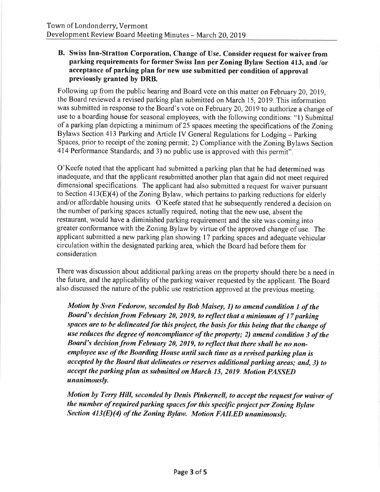## B. Swiss Inn-Stratton Corporation, Change of Use. Consider request for waiver from parking requirements for former Swiss Inn per Zoning Bylaw Section 413, and /or acceptance of parking plan for new use submitted per condition of approval previously granted by DRB.

Following up from the public hearing and Board vote on this matter on February 20, 2019. the Board reviewed a revised parking plan submitted on March 15, 2019. This information was submitted in response to the Board's vote on February 20, 2019 to authorize a change of use to a boarding house for seasonal employees, with the following conditions: "1) Submittal of a parking plan depicting a minimum of 25 spaces meeting the specifications of the Zoning Bylaws Section 413 Parking and Article IV General Regulations for Lodging - Parking Spaces, prior to receipt of the zoning permit; 2) Compliance with the Zoning Bylaws Section 414 Performance Standards; and 3) no public use is approved with this permit".

O'Keefe noted that the applicant had submitted a parking plan that he had determined was inadequate, and that the applicant resubmitted another plan that again did not meet required dimensional specifications. The applicant had also submitted a request for waiver pursuant to Section  $413(E)(4)$  of the Zoning Bylaw, which pertains to parking reductions for elderly and/or affordable housing units. O'Keefe stated that he subsequently rendered a decision on the number of parking spaces actually required, noting that the new use, absent the restaurant, would have a diminished parking requirement and the site was coming into greater conformance with the Zoning Bylaw by virtue of the approved change of use. The applicant submitted a new parking plan showing 17 parking spaces and adequate vehicular circulation within the designated parking area, which the Board had before them for consideration.

There was discussion about additional parking areas on the property should there be a need in the future, and the applicability of the parking waiver requested by the applicant. The Board also discussed the nature of the public use restriction approved at the previous meeting.

Motion by Sven Fedorow, seconded by Bob Maisey, 1) to amend condition 1 of the Board's decision from February 20, 2019, to reflect that a minimum of 17 parking spaces are to be delineated for this project, the basis for this being that the change of use reduces the degree of noncompliance of the property; 2) amend condition 3 of the Board's decision from February 20, 2019, to reflect that there shall be no nonemployee use of the Boarding House until such time as a revised parking plan is accepted by the Board that delineates or reserves additional parking areas; and, 3) to accept the parking plan as submitted on March 15, 2019. Motion PASSED unanimously.

Motion by Terry Hill, seconded by Denis Pinkernell, to accept the request for waiver of the number of required parking spaces for this specific project per Zoning Bylaw Section 413(E)(4) of the Zoning Bylaw. Motion FAILED unanimously.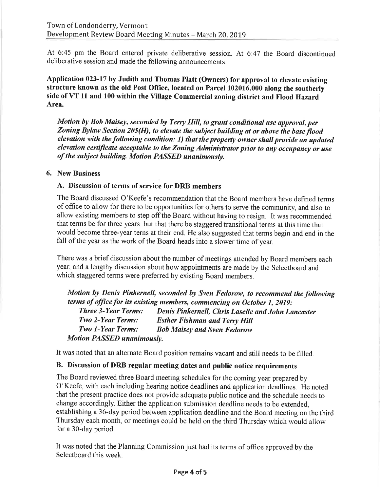At 6:45 pm the Board entered private deliberative session. At 6:47 the Board discontinued deliberative session and made the following announcements:

Application 023-17 by Judith and Thomas Platt (Owners) for approval to elevate existing structure known as the old Post Office, located on Parcel 102016.000 along the southerly side of VT 11 and 100 within the Village Commercial zoning district and Flood Hazard Area.

Motion by Bob Maisey, seconded by Terry Hill, to grant conditional use approval, per Zoning Bylaw Section 205(H), to elevate the subject building at or above the base flood elevation with the following condition: 1) that the property owner shall provide an updated elevation certificate acceptable to the Zoning Administrator prior to any occupancy or use of the subject building. Motion PASSED unanimously.

# 6. New Business

# A. Discussion of terms of service for DRB members

The Board discussed O'Keefe's recommendation that the Board members have defined terms of office to allow for there to be opportunities for others to serve the community, and also to allow existing members to step off the Board without having to resign. It was recommended that terms be for three years, but that there be staggered transitional terms at this time that would become three-year terns at their end. He also suggested that terms begin and end in the fall of the year as the work of the Board heads into a slower time of year.

There was a brief discussion about the number of meetings attended by Board members each year, and a lengthy discussion about how appointments are made by the Selectboard and which staggered terms were preferred by existing Board members.

Motion by Denis Pinkernell, seconded by Sven Fedorow, to recommend the following terms of office for its existing members, commencing on October 1, 2019: Denis Pinkernell, Chris Laselle and John Lancaster **Three 3-Year Terms:** Two 2-Year Terms: **Esther Fishman and Terry Hill Two 1-Year Terms: Bob Maisey and Sven Fedorow Motion PASSED unanimously.** 

It was noted that an alternate Board position remains vacant and still needs to be filled.

# B. Discussion of DRB regular meeting dates and public notice requirements

The Board reviewed three Board meeting schedules for the coming year prepared by O'Keefe, with each including hearing notice deadlines and application deadlines. He noted that the present practice does not provide adequate public notice and the schedule needs to change accordingly. Either the application submission deadline needs to be extended, establishing a 36-day period between application deadline and the Board meeting on the third Thursday each month, or meetings could be held on the third Thursday which would allow for a 30-day period.

It was noted that the Planning Commission just had its terms of office approved by the Selectboard this week.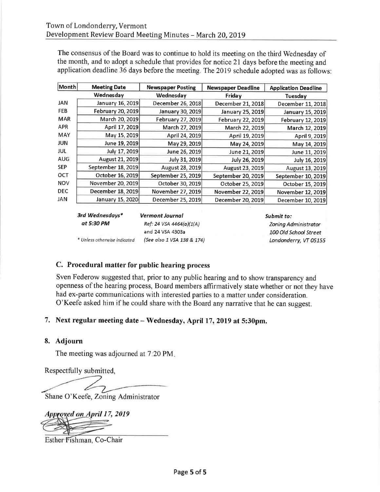The consensus of the Board was to continue to hold its meeting on the third Wednesday of the month, and to adopt a schedule that provides for notice 21 days before the meeting and application deadline 36 days before the meeting. The 2019 schedule adopted was as follows:

| Month      | <b>Meeting Date</b> | <b>Newspaper Posting</b> | <b>Newspaper Deadline</b> | <b>Application Deadline</b> |
|------------|---------------------|--------------------------|---------------------------|-----------------------------|
|            | Wednesday           | Wednesday                | Friday                    | Tuesday                     |
| <b>JAN</b> | January 16, 2019    | December 26, 2018        | December 21, 2018         | December 11, 2018           |
| <b>FEB</b> | February 20, 2019   | January 30, 2019         | January 25, 2019          | January 15, 2019            |
| <b>MAR</b> | March 20, 2019      | February 27, 2019        | <b>February 22, 2019</b>  | February 12, 2019           |
| <b>APR</b> | April 17, 2019      | March 27, 2019           | March 22, 2019            | March 12, 2019              |
| <b>MAY</b> | May 15, 2019        | April 24, 2019           | April 19, 2019            | April 9, 2019               |
| <b>JUN</b> | June 19, 2019       | May 29, 2019             | May 24, 2019              | May 14, 2019                |
| JUL        | July 17, 2019       | June 26, 2019            | June 21, 2019             | June 11, 2019               |
| <b>AUG</b> | August 21, 2019     | July 31, 2019            | July 26, 2019             | July 16, 2019               |
| <b>SEP</b> | September 18, 2019  | August 28, 2019          | August 23, 2019           | August 13, 2019             |
| <b>OCT</b> | October 16, 2019    | September 25, 2019       | September 20, 2019        | September 10, 2019          |
| <b>NOV</b> | November 20, 2019   | October 30, 2019         | October 25, 2019          | October 15, 2019            |
| <b>DEC</b> | December 18, 2019   | November 27, 2019        | November 22, 2019         | November 12, 2019           |
| <b>JAN</b> | January 15, 2020    | December 25, 2019        | December 20, 2019         | December 10, 2019           |

| 3rd Wednesdays*              | <b>Vermont Journal</b>     |  |
|------------------------------|----------------------------|--|
| at 5:30 PM                   | Ref: 24 VSA 4464(a)(1(A)   |  |
|                              | and 24 VSA 4303a           |  |
| * Unless otherwise indicated | (See also 1 VSA 138 & 174) |  |

Submit to: Zoning Administrator 100 Old School Street Londonderry, VT 05155

# C. Procedural matter for public hearing process

Sven Federow suggested that, prior to any public hearing and to show transparency and openness of the hearing process, Board members affirmatively state whether or not they have had ex-parte communications with interested parties to a matter under consideration. O'Keefe asked him if he could share with the Board any narrative that he can suggest.

# 7. Next regular meeting date - Wednesday, April 17, 2019 at 5:30pm.

# 8. Adjourn

The meeting was adjourned at 7:20 PM.

Respectfully submitted,

Shane O'Keefe, Zoning Administrator

Approyed on April 17, 2019

Esther Fishman, Co-Chair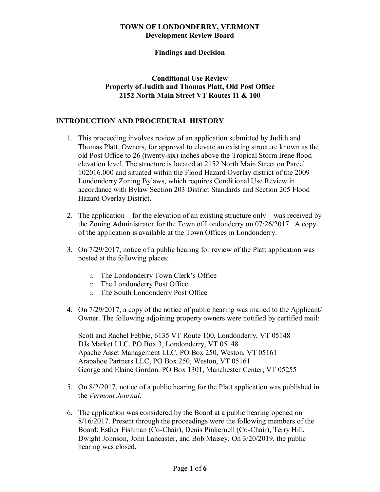#### **TOWN OF LONDONDERRY, VERMONT Development Review Board**

## **Findings and Decision**

## **Conditional Use Review Property of Judith and Thomas Platt, Old Post Office 2152 North Main Street VT Routes 11 & 100**

# **INTRODUCTION AND PROCEDURAL HISTORY**

- 1. This proceeding involves review of an application submitted by Judith and Thomas Platt, Owners, for approval to elevate an existing structure known as the old Post Office to 26 (twenty-six) inches above the Tropical Storm Irene flood elevation level. The structure is located at 2152 North Main Street on Parcel 102016.000 and situated within the Flood Hazard Overlay district of the 2009 Londonderry Zoning Bylaws, which requires Conditional Use Review in accordance with Bylaw Section 203 District Standards and Section 205 Flood Hazard Overlay District.
- 2. The application for the elevation of an existing structure only was received by the Zoning Administrator for the Town of Londonderry on 07/26/2017. A copy of the application is available at the Town Offices in Londonderry.
- 3. On 7/29/2017, notice of a public hearing for review of the Platt application was posted at the following places:
	- o The Londonderry Town Clerk's Office
	- o The Londonderry Post Office
	- o The South Londonderry Post Office
- 4. On 7/29/2017, a copy of the notice of public hearing was mailed to the Applicant/ Owner. The following adjoining property owners were notified by certified mail:

Scott and Rachel Febbie, 6135 VT Route 100, Londonderry, VT 05148 DJs Market LLC, PO Box 3, Londonderry, VT 05148 Apache Asset Management LLC, PO Box 250, Weston, VT 05161 Arapahoe Partners LLC, PO Box 250, Weston, VT 05161 George and Elaine Gordon. PO Box 1301, Manchester Center, VT 05255

- 5. On 8/2/2017, notice of a public hearing for the Platt application was published in the *Vermont Journal*.
- 6. The application was considered by the Board at a public hearing opened on 8/16/2017. Present through the proceedings were the following members of the Board: Esther Fishman (Co-Chair), Denis Pinkernell (Co-Chair), Terry Hill, Dwight Johnson, John Lancaster, and Bob Maisey. On 3/20/2019, the public hearing was closed.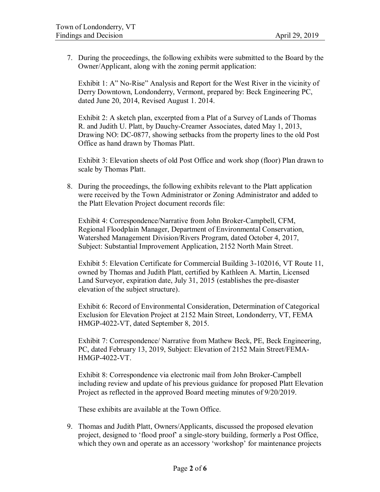7. During the proceedings, the following exhibits were submitted to the Board by the Owner/Applicant, along with the zoning permit application:

Exhibit 1: A" No-Rise" Analysis and Report for the West River in the vicinity of Derry Downtown, Londonderry, Vermont, prepared by: Beck Engineering PC, dated June 20, 2014, Revised August 1. 2014.

Exhibit 2: A sketch plan, excerpted from a Plat of a Survey of Lands of Thomas R. and Judith U. Platt, by Dauchy-Creamer Associates, dated May 1, 2013, Drawing NO: DC-0877, showing setbacks from the property lines to the old Post Office as hand drawn by Thomas Platt.

Exhibit 3: Elevation sheets of old Post Office and work shop (floor) Plan drawn to scale by Thomas Platt.

8. During the proceedings, the following exhibits relevant to the Platt application were received by the Town Administrator or Zoning Administrator and added to the Platt Elevation Project document records file:

Exhibit 4: Correspondence/Narrative from John Broker-Campbell, CFM, Regional Floodplain Manager, Department of Environmental Conservation, Watershed Management Division/Rivers Program, dated October 4, 2017, Subject: Substantial Improvement Application, 2152 North Main Street.

Exhibit 5: Elevation Certificate for Commercial Building 3-102016, VT Route 11, owned by Thomas and Judith Platt, certified by Kathleen A. Martin, Licensed Land Surveyor, expiration date, July 31, 2015 (establishes the pre-disaster elevation of the subject structure).

Exhibit 6: Record of Environmental Consideration, Determination of Categorical Exclusion for Elevation Project at 2152 Main Street, Londonderry, VT, FEMA HMGP-4022-VT, dated September 8, 2015.

Exhibit 7: Correspondence/ Narrative from Mathew Beck, PE, Beck Engineering, PC, dated February 13, 2019, Subject: Elevation of 2152 Main Street/FEMA-HMGP-4022-VT.

Exhibit 8: Correspondence via electronic mail from John Broker-Campbell including review and update of his previous guidance for proposed Platt Elevation Project as reflected in the approved Board meeting minutes of 9/20/2019.

These exhibits are available at the Town Office.

9. Thomas and Judith Platt, Owners/Applicants, discussed the proposed elevation project, designed to 'flood proof' a single-story building, formerly a Post Office, which they own and operate as an accessory 'workshop' for maintenance projects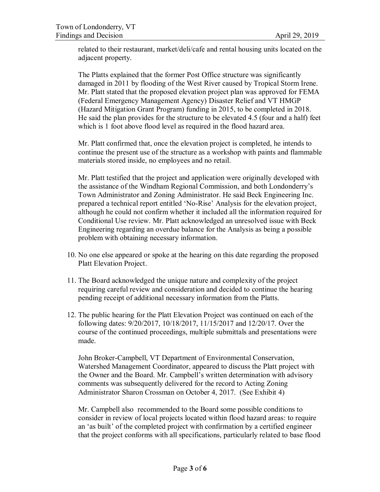related to their restaurant, market/deli/cafe and rental housing units located on the adjacent property.

The Platts explained that the former Post Office structure was significantly damaged in 2011 by flooding of the West River caused by Tropical Storm Irene. Mr. Platt stated that the proposed elevation project plan was approved for FEMA (Federal Emergency Management Agency) Disaster Relief and VT HMGP (Hazard Mitigation Grant Program) funding in 2015, to be completed in 2018. He said the plan provides for the structure to be elevated 4.5 (four and a half) feet which is 1 foot above flood level as required in the flood hazard area.

Mr. Platt confirmed that, once the elevation project is completed, he intends to continue the present use of the structure as a workshop with paints and flammable materials stored inside, no employees and no retail.

Mr. Platt testified that the project and application were originally developed with the assistance of the Windham Regional Commission, and both Londonderry's Town Administrator and Zoning Administrator. He said Beck Engineering Inc. prepared a technical report entitled 'No-Rise' Analysis for the elevation project, although he could not confirm whether it included all the information required for Conditional Use review. Mr. Platt acknowledged an unresolved issue with Beck Engineering regarding an overdue balance for the Analysis as being a possible problem with obtaining necessary information.

- 10. No one else appeared or spoke at the hearing on this date regarding the proposed Platt Elevation Project.
- 11. The Board acknowledged the unique nature and complexity of the project requiring careful review and consideration and decided to continue the hearing pending receipt of additional necessary information from the Platts.
- 12. The public hearing for the Platt Elevation Project was continued on each of the following dates: 9/20/2017, 10/18/2017, 11/15/2017 and 12/20/17. Over the course of the continued proceedings, multiple submittals and presentations were made.

John Broker-Campbell, VT Department of Environmental Conservation, Watershed Management Coordinator, appeared to discuss the Platt project with the Owner and the Board. Mr. Campbell's written determination with advisory comments was subsequently delivered for the record to Acting Zoning Administrator Sharon Crossman on October 4, 2017. (See Exhibit 4)

Mr. Campbell also recommended to the Board some possible conditions to consider in review of local projects located within flood hazard areas: to require an 'as built' of the completed project with confirmation by a certified engineer that the project conforms with all specifications, particularly related to base flood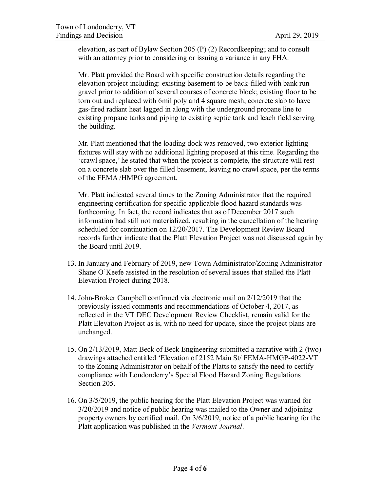elevation, as part of Bylaw Section 205 (P) (2) Recordkeeping; and to consult with an attorney prior to considering or issuing a variance in any FHA.

Mr. Platt provided the Board with specific construction details regarding the elevation project including: existing basement to be back-filled with bank run gravel prior to addition of several courses of concrete block; existing floor to be torn out and replaced with 6mil poly and 4 square mesh; concrete slab to have gas-fired radiant heat lagged in along with the underground propane line to existing propane tanks and piping to existing septic tank and leach field serving the building.

Mr. Platt mentioned that the loading dock was removed, two exterior lighting fixtures will stay with no additional lighting proposed at this time. Regarding the 'crawl space,' he stated that when the project is complete, the structure will rest on a concrete slab over the filled basement, leaving no crawl space, per the terms of the FEMA /HMPG agreement.

Mr. Platt indicated several times to the Zoning Administrator that the required engineering certification for specific applicable flood hazard standards was forthcoming. In fact, the record indicates that as of December 2017 such information had still not materialized, resulting in the cancellation of the hearing scheduled for continuation on 12/20/2017. The Development Review Board records further indicate that the Platt Elevation Project was not discussed again by the Board until 2019.

- 13. In January and February of 2019, new Town Administrator/Zoning Administrator Shane O'Keefe assisted in the resolution of several issues that stalled the Platt Elevation Project during 2018.
- 14. John-Broker Campbell confirmed via electronic mail on 2/12/2019 that the previously issued comments and recommendations of October 4, 2017, as reflected in the VT DEC Development Review Checklist, remain valid for the Platt Elevation Project as is, with no need for update, since the project plans are unchanged.
- 15. On 2/13/2019, Matt Beck of Beck Engineering submitted a narrative with 2 (two) drawings attached entitled 'Elevation of 2152 Main St/ FEMA-HMGP-4022-VT to the Zoning Administrator on behalf of the Platts to satisfy the need to certify compliance with Londonderry's Special Flood Hazard Zoning Regulations Section 205.
- 16. On 3/5/2019, the public hearing for the Platt Elevation Project was warned for 3/20/2019 and notice of public hearing was mailed to the Owner and adjoining property owners by certified mail. On 3/6/2019, notice of a public hearing for the Platt application was published in the *Vermont Journal*.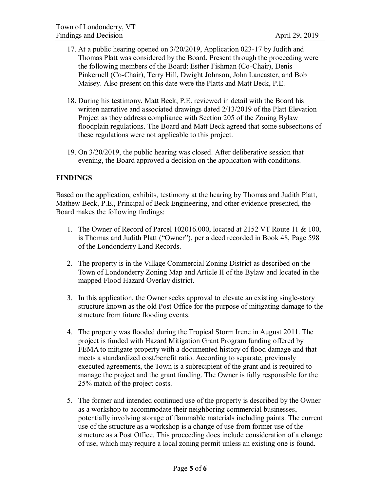- 17. At a public hearing opened on 3/20/2019, Application 023-17 by Judith and Thomas Platt was considered by the Board. Present through the proceeding were the following members of the Board: Esther Fishman (Co-Chair), Denis Pinkernell (Co-Chair), Terry Hill, Dwight Johnson, John Lancaster, and Bob Maisey. Also present on this date were the Platts and Matt Beck, P.E.
- 18. During his testimony, Matt Beck, P.E. reviewed in detail with the Board his written narrative and associated drawings dated 2/13/2019 of the Platt Elevation Project as they address compliance with Section 205 of the Zoning Bylaw floodplain regulations. The Board and Matt Beck agreed that some subsections of these regulations were not applicable to this project.
- 19. On 3/20/2019, the public hearing was closed. After deliberative session that evening, the Board approved a decision on the application with conditions.

# **FINDINGS**

Based on the application, exhibits, testimony at the hearing by Thomas and Judith Platt, Mathew Beck, P.E., Principal of Beck Engineering, and other evidence presented, the Board makes the following findings:

- 1. The Owner of Record of Parcel 102016.000, located at 2152 VT Route 11 & 100, is Thomas and Judith Platt ("Owner"), per a deed recorded in Book 48, Page 598 of the Londonderry Land Records.
- 2. The property is in the Village Commercial Zoning District as described on the Town of Londonderry Zoning Map and Article II of the Bylaw and located in the mapped Flood Hazard Overlay district.
- 3. In this application, the Owner seeks approval to elevate an existing single-story structure known as the old Post Office for the purpose of mitigating damage to the structure from future flooding events.
- 4. The property was flooded during the Tropical Storm Irene in August 2011. The project is funded with Hazard Mitigation Grant Program funding offered by FEMA to mitigate property with a documented history of flood damage and that meets a standardized cost/benefit ratio. According to separate, previously executed agreements, the Town is a subrecipient of the grant and is required to manage the project and the grant funding. The Owner is fully responsible for the 25% match of the project costs.
- 5. The former and intended continued use of the property is described by the Owner as a workshop to accommodate their neighboring commercial businesses, potentially involving storage of flammable materials including paints. The current use of the structure as a workshop is a change of use from former use of the structure as a Post Office. This proceeding does include consideration of a change of use, which may require a local zoning permit unless an existing one is found.